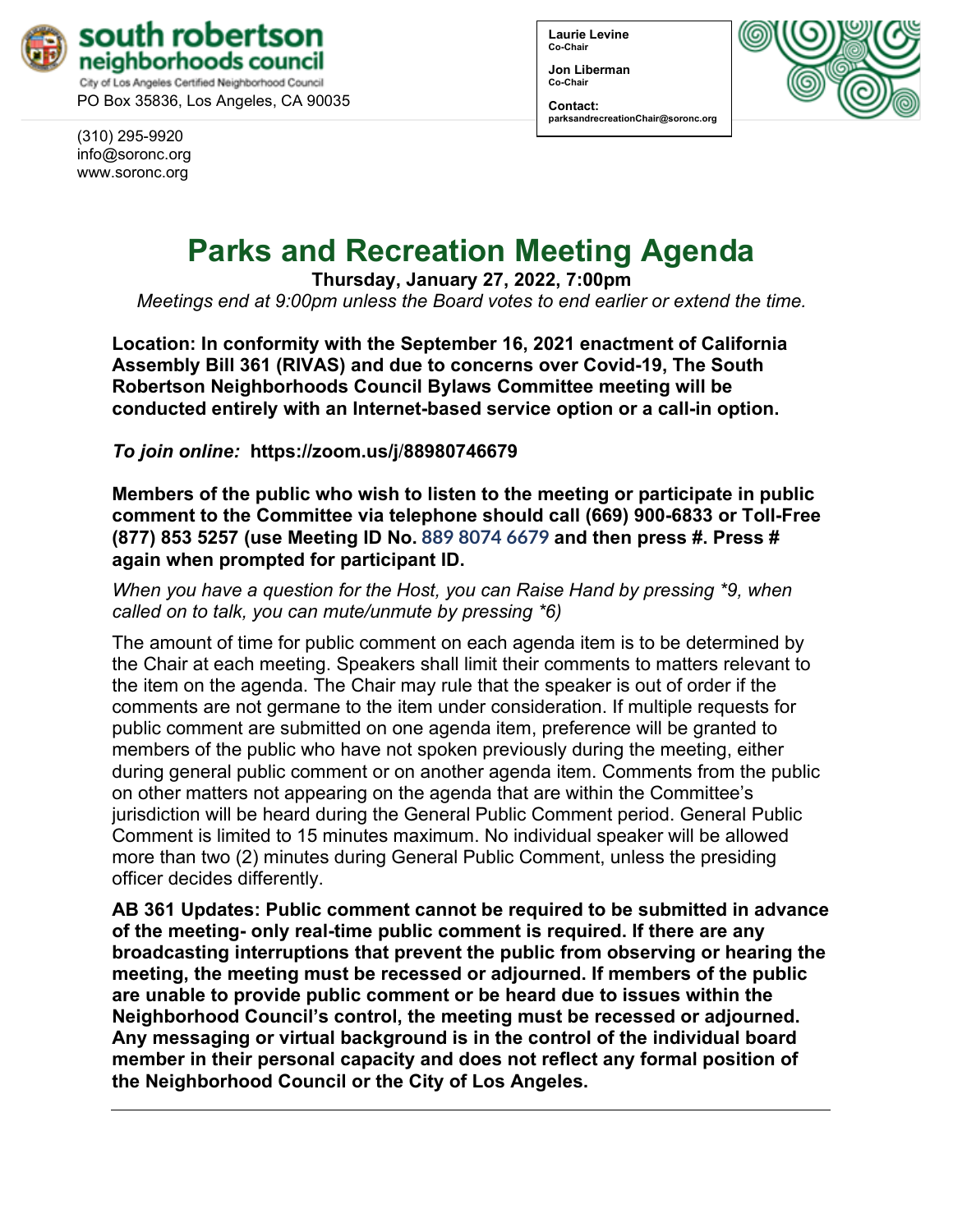

City of Los Angeles Certified Neighborhood Council PO Box 35836, Los Angeles, CA 90035

(310) 295-9920 [info@soronc.org](mailto:info@soronc.org) www.soronc.org

**Laurie Levine Co-Chair**

**Jon Liberman Co-Chair**

**Contact: parksandrecreationChair@soronc.org**



# **Parks and Recreation Meeting Agenda**

**Thursday, January 27, 2022, 7:00pm**

*Meetings end at 9:00pm unless the Board votes to end earlier or extend the time.*

**Location: In conformity with the September 16, 2021 enactment of California Assembly Bill 361 (RIVAS) and due to concerns over Covid-19, The South Robertson Neighborhoods Council Bylaws Committee meeting will be conducted entirely with an Internet-based service option or a call-in option.**

*To join online:* **[https://zoom.us/j](https://zoom.us/j/88980746679)**/**88980746679** 

**Members of the public who wish to listen to the meeting or participate in public comment to the Committee via telephone should call (669) 900-6833 or Toll-Free (877) 853 5257 (use Meeting ID No. 889 8074 6679 and then press #. Press # again when prompted for participant ID.** 

*When you have a question for the Host, you can Raise Hand by pressing \*9, when called on to talk, you can mute/unmute by pressing \*6)* 

The amount of time for public comment on each agenda item is to be determined by the Chair at each meeting. Speakers shall limit their comments to matters relevant to the item on the agenda. The Chair may rule that the speaker is out of order if the comments are not germane to the item under consideration. If multiple requests for public comment are submitted on one agenda item, preference will be granted to members of the public who have not spoken previously during the meeting, either during general public comment or on another agenda item. Comments from the public on other matters not appearing on the agenda that are within the Committee's jurisdiction will be heard during the General Public Comment period. General Public Comment is limited to 15 minutes maximum. No individual speaker will be allowed more than two (2) minutes during General Public Comment, unless the presiding officer decides differently.

**AB 361 Updates: Public comment cannot be required to be submitted in advance of the meeting- only real-time public comment is required. If there are any broadcasting interruptions that prevent the public from observing or hearing the meeting, the meeting must be recessed or adjourned. If members of the public are unable to provide public comment or be heard due to issues within the Neighborhood Council's control, the meeting must be recessed or adjourned. Any messaging or virtual background is in the control of the individual board member in their personal capacity and does not reflect any formal position of the Neighborhood Council or the City of Los Angeles.**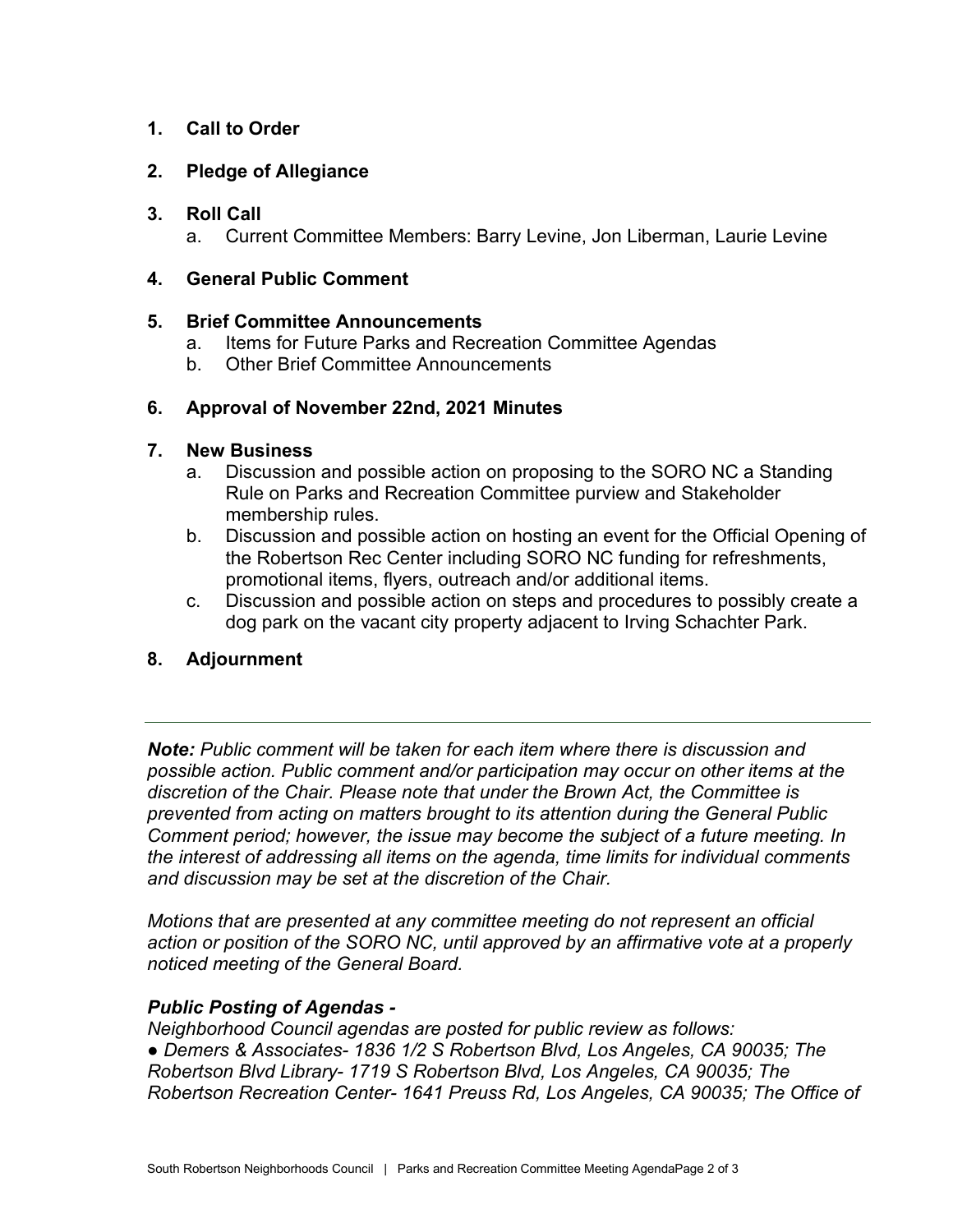# **1. Call to Order**

# **2. Pledge of Allegiance**

### **3. Roll Call**

a. Current Committee Members: Barry Levine, Jon Liberman, Laurie Levine

# **4. General Public Comment**

# **5. Brief Committee Announcements**

- a. Items for Future Parks and Recreation Committee Agendas
- b. Other Brief Committee Announcements

# **6. Approval of November 22nd, 2021 Minutes**

# **7. New Business**

- a. Discussion and possible action on proposing to the SORO NC a Standing Rule on Parks and Recreation Committee purview and Stakeholder membership rules.
- b. Discussion and possible action on hosting an event for the Official Opening of the Robertson Rec Center including SORO NC funding for refreshments, promotional items, flyers, outreach and/or additional items.
- c. Discussion and possible action on steps and procedures to possibly create a dog park on the vacant city property adjacent to Irving Schachter Park.

# **8. Adjournment**

*Note: Public comment will be taken for each item where there is discussion and possible action. Public comment and/or participation may occur on other items at the discretion of the Chair. Please note that under the Brown Act, the Committee is prevented from acting on matters brought to its attention during the General Public Comment period; however, the issue may become the subject of a future meeting. In the interest of addressing all items on the agenda, time limits for individual comments and discussion may be set at the discretion of the Chair.*

*Motions that are presented at any committee meeting do not represent an official action or position of the SORO NC, until approved by an affirmative vote at a properly noticed meeting of the General Board.*

# *Public Posting of Agendas -*

*Neighborhood Council agendas are posted for public review as follows: ● Demers & Associates- 1836 1/2 S Robertson Blvd, Los Angeles, CA 90035; The Robertson Blvd Library- 1719 S Robertson Blvd, Los Angeles, CA 90035; The Robertson Recreation Center- 1641 Preuss Rd, Los Angeles, CA 90035; The Office of*